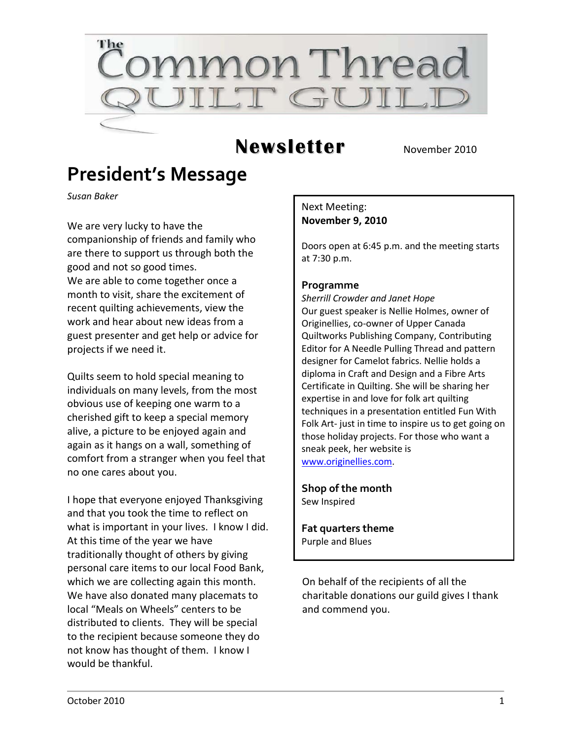

## **Newsletter** November 2010

## **President's Message**

*Susan Baker*

We are very lucky to have the companionship of friends and family who are there to support us through both the good and not so good times. We are able to come together once a month to visit, share the excitement of recent quilting achievements, view the work and hear about new ideas from a guest presenter and get help or advice for projects if we need it.

Quilts seem to hold special meaning to individuals on many levels, from the most obvious use of keeping one warm to a cherished gift to keep a special memory alive, a picture to be enjoyed again and again as it hangs on a wall, something of comfort from a stranger when you feel that no one cares about you.

I hope that everyone enjoyed Thanksgiving and that you took the time to reflect on what is important in your lives. I know I did. At this time of the year we have traditionally thought of others by giving personal care items to our local Food Bank, which we are collecting again this month. We have also donated many placemats to local "Meals on Wheels" centers to be distributed to clients. They will be special to the recipient because someone they do not know has thought of them. I know I would be thankful.

Next Meeting: **November 9, 2010**

Doors open at 6:45 p.m. and the meeting starts at 7:30 p.m.

#### **Programme**

*Sherrill Crowder and Janet Hope* Our guest speaker is Nellie Holmes, owner of Originellies, co-owner of Upper Canada Quiltworks Publishing Company, Contributing Editor for A Needle Pulling Thread and pattern designer for Camelot fabrics. Nellie holds a diploma in Craft and Design and a Fibre Arts Certificate in Quilting. She will be sharing her expertise in and love for folk art quilting techniques in a presentation entitled Fun With Folk Art- just in time to inspire us to get going on those holiday projects. For those who want a sneak peek, her website is [www.originellies.com.](http://www.originellies.com/)

**Shop of the month** Sew Inspired

**Fat quarters theme** Purple and Blues

On behalf of the recipients of all the charitable donations our guild gives I thank and commend you.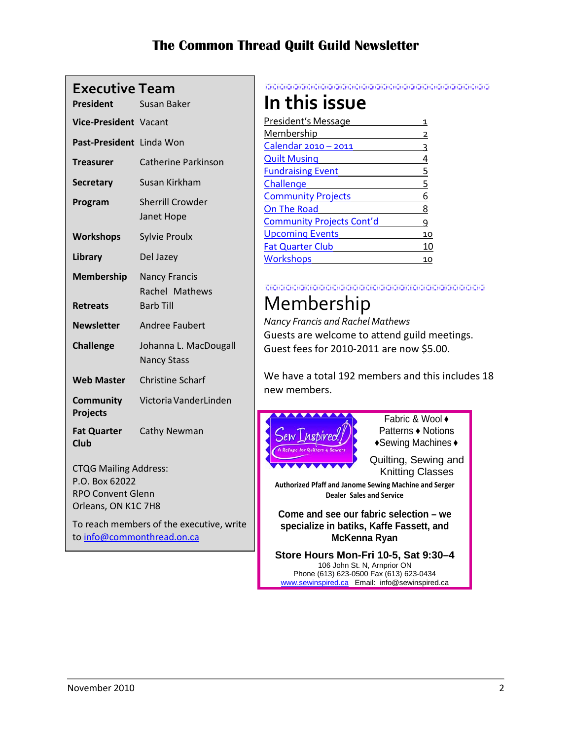| <b>President</b>                               | <b>Susan Baker</b>                                         |  |
|------------------------------------------------|------------------------------------------------------------|--|
| Vice-President Vacant                          |                                                            |  |
| <b>Past-President</b>                          | Linda Won                                                  |  |
| <b>Treasurer</b>                               | Catherine Parkinson                                        |  |
| <b>Secretary</b>                               | Susan Kirkham                                              |  |
| Program                                        | <b>Sherrill Crowder</b><br>Janet Hope                      |  |
| <b>Workshops</b>                               | <b>Sylvie Proulx</b>                                       |  |
| Library                                        | Del Jazey                                                  |  |
| <b>Membership</b><br><b>Retreats</b>           | <b>Nancy Francis</b><br>Rachel Mathews<br><b>Barb Till</b> |  |
| <b>Newsletter</b>                              | <b>Andree Faubert</b>                                      |  |
| <b>Challenge</b>                               | Johanna L. MacDougall<br><b>Nancy Stass</b>                |  |
| <b>Web Master</b>                              | <b>Christine Scharf</b>                                    |  |
| <b>Community</b><br><b>Projects</b>            | Victoria VanderLinden                                      |  |
| <b>Fat Quarter</b><br><b>Club</b>              | Cathy Newman                                               |  |
| <b>CTQG Mailing Address:</b><br>P.O. Box 62022 |                                                            |  |

RPO Convent Glenn Orleans, ON K1C 7H8

To reach members of the executive, write t[o info@commonthread.on.ca](mailto:info@commonthread.on.ca)

#### 

## **In this issue**

| President's Message              |    |
|----------------------------------|----|
| <b>Membership</b>                |    |
| Calendar 2010 - 2011             |    |
| <b>Quilt Musing</b>              |    |
| <b>Fundraising Event</b>         | 5  |
| Challenge                        | 5  |
| <b>Community Projects</b>        |    |
| On The Road                      | 8  |
| <b>Community Projects Cont'd</b> |    |
| <b>Upcoming Events</b>           | 10 |
| <b>Fat Quarter Club</b>          |    |
| <b>Workshops</b>                 |    |
|                                  |    |

#### 

## Membership

*Nancy Francis and Rachel Mathews* Guests are welcome to attend guild meetings. Guest fees for 2010-2011 are now \$5.00.

We have a total 192 members and this includes 18 new members.



**specialize in batiks, Kaffe Fassett, and McKenna Ryan**

**Store Hours Mon-Fri 10-5, Sat 9:30–4** 106 John St. N, Arnprior ON Phone (613) 623-0500 Fax (613) 623-0434 [www.sewinspired.ca](http://www.sewinspired.ca/) Email: info@sewinspired.ca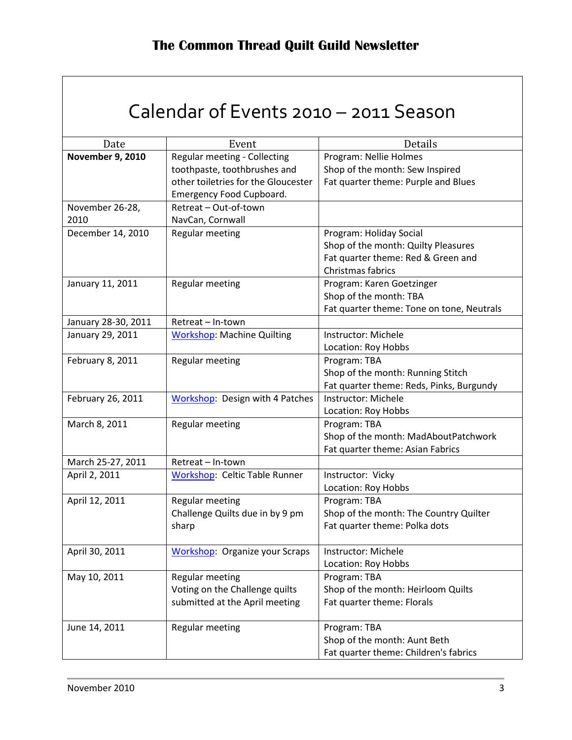|  |  | Calendar of Events 2010 - 2011 Season |  |
|--|--|---------------------------------------|--|
|--|--|---------------------------------------|--|

<span id="page-2-0"></span>

| Date                    | Event                                  | Details                                   |
|-------------------------|----------------------------------------|-------------------------------------------|
| <b>November 9, 2010</b> | Regular meeting - Collecting           | Program: Nellie Holmes                    |
|                         | toothpaste, toothbrushes and           | Shop of the month: Sew Inspired           |
|                         | other toiletries for the Gloucester    | Fat quarter theme: Purple and Blues       |
|                         | Emergency Food Cupboard.               |                                           |
| November 26-28,         | Retreat - Out-of-town                  |                                           |
| 2010                    | NavCan, Cornwall                       |                                           |
| December 14, 2010       | Regular meeting                        | Program: Holiday Social                   |
|                         |                                        | Shop of the month: Quilty Pleasures       |
|                         |                                        | Fat quarter theme: Red & Green and        |
|                         |                                        | Christmas fabrics                         |
| January 11, 2011        | Regular meeting                        | Program: Karen Goetzinger                 |
|                         |                                        | Shop of the month: TBA                    |
|                         |                                        | Fat quarter theme: Tone on tone, Neutrals |
| January 28-30, 2011     | Retreat - In-town                      |                                           |
| January 29, 2011        | <b>Workshop: Machine Quilting</b>      | Instructor: Michele                       |
|                         |                                        | Location: Roy Hobbs                       |
| February 8, 2011        | Regular meeting                        | Program: TBA                              |
|                         |                                        | Shop of the month: Running Stitch         |
|                         |                                        | Fat quarter theme: Reds, Pinks, Burgundy  |
| February 26, 2011       | <b>Workshop: Design with 4 Patches</b> | Instructor: Michele                       |
|                         |                                        | Location: Roy Hobbs                       |
| March 8, 2011           | Regular meeting                        | Program: TBA                              |
|                         |                                        | Shop of the month: MadAboutPatchwork      |
|                         |                                        | Fat quarter theme: Asian Fabrics          |
| March 25-27, 2011       | Retreat - In-town                      |                                           |
| April 2, 2011           | <b>Workshop: Celtic Table Runner</b>   | Instructor: Vicky                         |
|                         |                                        | Location: Roy Hobbs                       |
| April 12, 2011          | Regular meeting                        | Program: TBA                              |
|                         | Challenge Quilts due in by 9 pm        | Shop of the month: The Country Quilter    |
|                         | sharp                                  | Fat quarter theme: Polka dots             |
|                         |                                        |                                           |
| April 30, 2011          | <b>Workshop: Organize your Scraps</b>  | Instructor: Michele                       |
|                         |                                        | Location: Roy Hobbs                       |
| May 10, 2011            | Regular meeting                        | Program: TBA                              |
|                         | Voting on the Challenge quilts         | Shop of the month: Heirloom Quilts        |
|                         | submitted at the April meeting         | Fat quarter theme: Florals                |
|                         |                                        |                                           |
| June 14, 2011           | Regular meeting                        | Program: TBA                              |
|                         |                                        | Shop of the month: Aunt Beth              |
|                         |                                        | Fat quarter theme: Children's fabrics     |
|                         |                                        |                                           |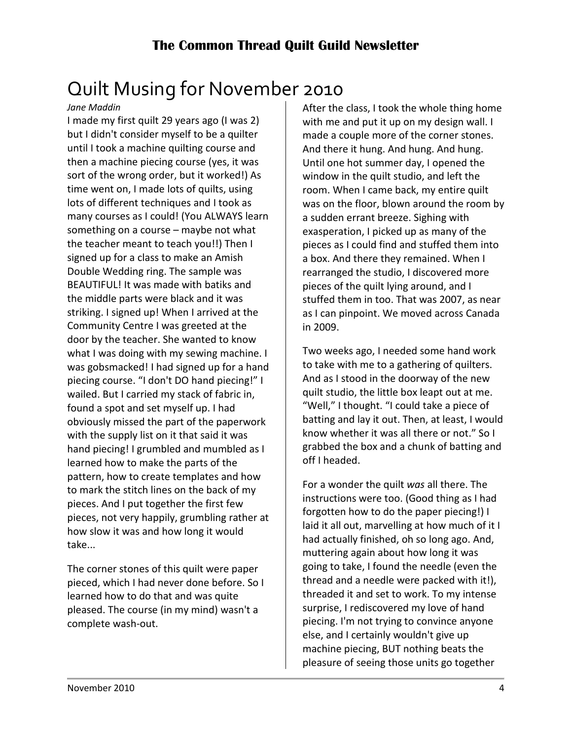# <span id="page-3-0"></span>Quilt Musing for November 2010

#### *Jane Maddin*

I made my first quilt 29 years ago (I was 2) but I didn't consider myself to be a quilter until I took a machine quilting course and then a machine piecing course (yes, it was sort of the wrong order, but it worked!) As time went on, I made lots of quilts, using lots of different techniques and I took as many courses as I could! (You ALWAYS learn something on a course – maybe not what the teacher meant to teach you!!) Then I signed up for a class to make an Amish Double Wedding ring. The sample was BEAUTIFUL! It was made with batiks and the middle parts were black and it was striking. I signed up! When I arrived at the Community Centre I was greeted at the door by the teacher. She wanted to know what I was doing with my sewing machine. I was gobsmacked! I had signed up for a hand piecing course. "I don't DO hand piecing!" I wailed. But I carried my stack of fabric in, found a spot and set myself up. I had obviously missed the part of the paperwork with the supply list on it that said it was hand piecing! I grumbled and mumbled as I learned how to make the parts of the pattern, how to create templates and how to mark the stitch lines on the back of my pieces. And I put together the first few pieces, not very happily, grumbling rather at how slow it was and how long it would take...

The corner stones of this quilt were paper pieced, which I had never done before. So I learned how to do that and was quite pleased. The course (in my mind) wasn't a complete wash-out.

After the class, I took the whole thing home with me and put it up on my design wall. I made a couple more of the corner stones. And there it hung. And hung. And hung. Until one hot summer day, I opened the window in the quilt studio, and left the room. When I came back, my entire quilt was on the floor, blown around the room by a sudden errant breeze. Sighing with exasperation, I picked up as many of the pieces as I could find and stuffed them into a box. And there they remained. When I rearranged the studio, I discovered more pieces of the quilt lying around, and I stuffed them in too. That was 2007, as near as I can pinpoint. We moved across Canada in 2009.

Two weeks ago, I needed some hand work to take with me to a gathering of quilters. And as I stood in the doorway of the new quilt studio, the little box leapt out at me. "Well," I thought. "I could take a piece of batting and lay it out. Then, at least, I would know whether it was all there or not." So I grabbed the box and a chunk of batting and off I headed.

For a wonder the quilt *was* all there. The instructions were too. (Good thing as I had forgotten how to do the paper piecing!) I laid it all out, marvelling at how much of it I had actually finished, oh so long ago. And, muttering again about how long it was going to take, I found the needle (even the thread and a needle were packed with it!), threaded it and set to work. To my intense surprise, I rediscovered my love of hand piecing. I'm not trying to convince anyone else, and I certainly wouldn't give up machine piecing, BUT nothing beats the pleasure of seeing those units go together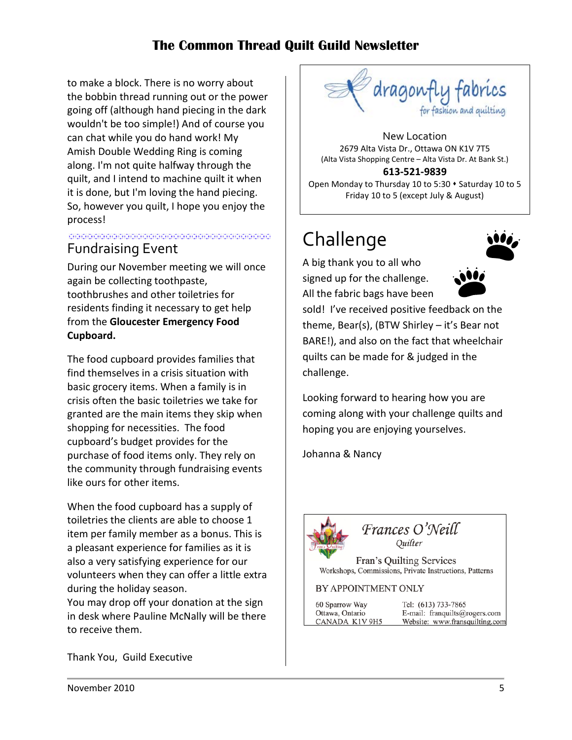to make a block. There is no worry about the bobbin thread running out or the power going off (although hand piecing in the dark wouldn't be too simple!) And of course you can chat while you do hand work! My Amish Double Wedding Ring is coming along. I'm not quite halfway through the quilt, and I intend to machine quilt it when it is done, but I'm loving the hand piecing. So, however you quilt, I hope you enjoy the process!

#### <span id="page-4-0"></span>, di secondo del provincia del control de la provincia del control de la provincia del control de la provincia<br>La provincia de la provincia del control de la provincia del control de la provincia de la provincia del contr Fundraising Event

During our November meeting we will once again be collecting toothpaste, toothbrushes and other toiletries for residents finding it necessary to get help from the **Gloucester Emergency Food Cupboard.**

The food cupboard provides families that find themselves in a crisis situation with basic grocery items. When a family is in crisis often the basic toiletries we take for granted are the main items they skip when shopping for necessities. The food cupboard's budget provides for the purchase of food items only. They rely on the community through fundraising events like ours for other items.

When the food cupboard has a supply of toiletries the clients are able to choose 1 item per family member as a bonus. This is a pleasant experience for families as it is also a very satisfying experience for our volunteers when they can offer a little extra during the holiday season.

You may drop off your donation at the sign in desk where Pauline McNally will be there to receive them.

Thank You, Guild Executive



New Location 2679 Alta Vista Dr., Ottawa ON K1V 7T5 (Alta Vista Shopping Centre – Alta Vista Dr. At Bank St.) **613-521-9839**

Open Monday to Thursday 10 to 5:30  $\cdot$  Saturday 10 to 5 Friday 10 to 5 (except July & August)

# <span id="page-4-1"></span>Challenge

A big thank you to all who signed up for the challenge. All the fabric bags have been





sold! I've received positive feedback on the theme, Bear(s), (BTW Shirley – it's Bear not BARE!), and also on the fact that wheelchair quilts can be made for & judged in the challenge.

Looking forward to hearing how you are coming along with your challenge quilts and hoping you are enjoying yourselves.

Johanna & Nancy



Frances O'Neill Ouilter

Fran's Quilting Services Workshops, Commissions, Private Instructions, Patterns

#### BY APPOINTMENT ONLY

60 Sparrow Way Ottawa, Ontario CANADA K1V 9H5 Tel: (613) 733-7865 E-mail: franquilts@rogers.com Website: www.fransquilting.con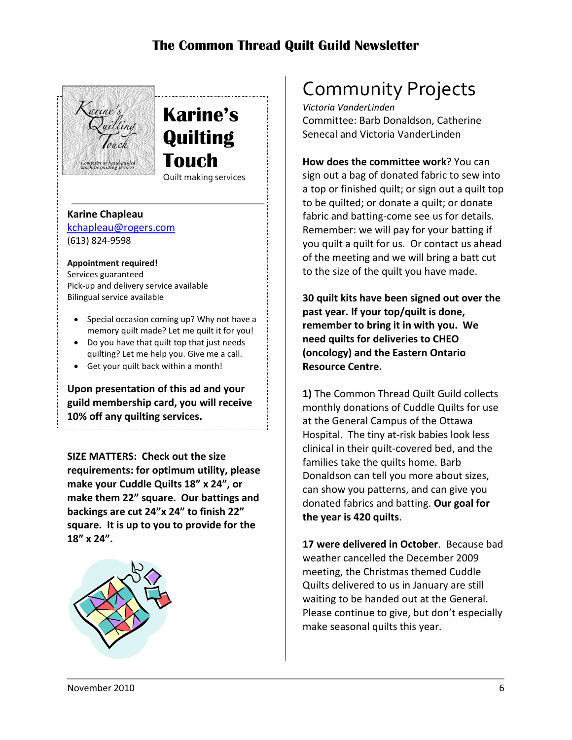

## **Karine's Quilting Touch** Quilt making services

**Karine Chapleau** [kchapleau@rogers.com](mailto:kchapleau@rogers.com)

(613) 824-9598

**Appointment required!** Services guaranteed Pick-up and delivery service available Bilingual service available

- Special occasion coming up? Why not have a memory quilt made? Let me quilt it for you!
- Do you have that quilt top that just needs quilting? Let me help you. Give me a call.
- Get your quilt back within a month!

**Upon presentation of this ad and your guild membership card, you will receive 10% off any quilting services.**

**SIZE MATTERS: Check out the size requirements: for optimum utility, please make your Cuddle Quilts 18" x 24", or make them 22" square. Our battings and backings are cut 24"x 24" to finish 22" square. It is up to you to provide for the 18" x 24".**



# <span id="page-5-0"></span>Community Projects

*Victoria VanderLinden* Committee: Barb Donaldson, Catherine Senecal and Victoria VanderLinden

**How does the committee work**? You can sign out a bag of donated fabric to sew into a top or finished quilt; or sign out a quilt top to be quilted; or donate a quilt; or donate fabric and batting-come see us for details. Remember: we will pay for your batting if you quilt a quilt for us. Or contact us ahead of the meeting and we will bring a batt cut to the size of the quilt you have made.

**30 quilt kits have been signed out over the past year. If your top/quilt is done, remember to bring it in with you. We need quilts for deliveries to CHEO (oncology) and the Eastern Ontario Resource Centre.**

**1)** The Common Thread Quilt Guild collects monthly donations of Cuddle Quilts for use at the General Campus of the Ottawa Hospital. The tiny at-risk babies look less clinical in their quilt-covered bed, and the families take the quilts home. Barb Donaldson can tell you more about sizes, can show you patterns, and can give you donated fabrics and batting. **Our goal for the year is 420 quilts**.

**17 were delivered in October**. Because bad weather cancelled the December 2009 meeting, the Christmas themed Cuddle Quilts delivered to us in January are still waiting to be handed out at the General. Please continue to give, but don't especially make seasonal quilts this year.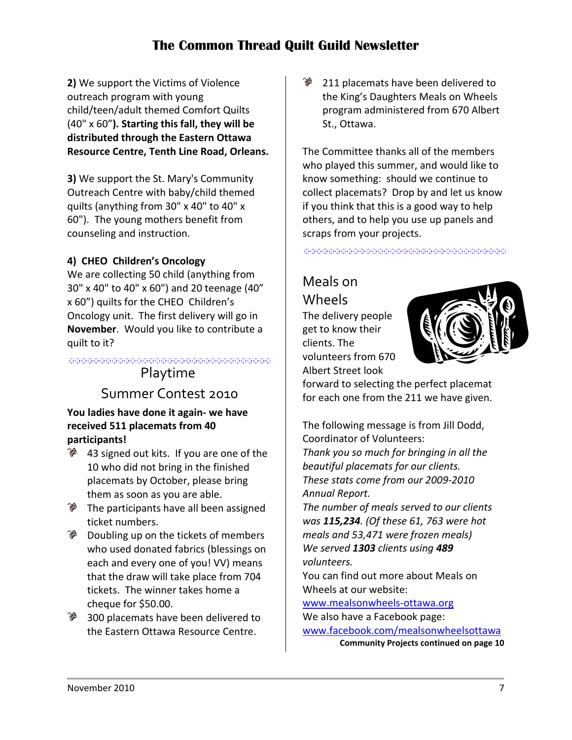**2)** We support the Victims of Violence outreach program with young child/teen/adult themed Comfort Quilts (40" x 60"**). Starting this fall, they will be distributed through the Eastern Ottawa Resource Centre, Tenth Line Road, Orleans.**

**3)** We support the St. Mary's Community Outreach Centre with baby/child themed quilts (anything from 30" x 40" to 40" x 60"). The young mothers benefit from counseling and instruction.

#### **4) CHEO Children's Oncology**

We are collecting 50 child (anything from 30" x 40" to 40" x 60") and 20 teenage (40" x 60") quilts for the CHEO Children's Oncology unit. The first delivery will go in **November**. Would you like to contribute a quilt to it?

SE SE CONSIDENTE COMPONIUM DE LOS DIMITION DE COMPONIUM DE LOS DIMITION DE LOS DIMITION DE LOS DIMITION DE LOS<br>1 - NU DE LOS DE LOS DE LOS DE LOS DE LOS DE LOS DE LOS DE LOS DE LOS DE LOS DE LOS DE LOS DE LOS DE LOS DE LO<br> Playtime

#### Summer Contest 2010

#### **You ladies have done it again- we have received 511 placemats from 40 participants!**

- 43 signed out kits. If you are one of the 10 who did not bring in the finished placemats by October, please bring them as soon as you are able.
- **The participants have all been assigned** ticket numbers.
- $\delta$  Doubling up on the tickets of members who used donated fabrics (blessings on each and every one of you! VV) means that the draw will take place from 704 tickets. The winner takes home a cheque for \$50.00.
- 300 placemats have been delivered to the Eastern Ottawa Resource Centre.

211 placemats have been delivered to the King's Daughters Meals on Wheels program administered from 670 Albert St., Ottawa.

The Committee thanks all of the members who played this summer, and would like to know something: should we continue to collect placemats? Drop by and let us know if you think that this is a good way to help others, and to help you use up panels and scraps from your projects.

## Meals on Wheels

The delivery people get to know their clients. The volunteers from 670 Albert Street look



forward to selecting the perfect placemat for each one from the 211 we have given.

The following message is from Jill Dodd, Coordinator of Volunteers: *Thank you so much for bringing in all the beautiful placemats for our clients. These stats come from our 2009-2010 Annual Report.*

*The number of meals served to our clients was 115,234. (Of these 61, 763 were hot meals and 53,471 were frozen meals) We served 1303 clients using 489 volunteers.*

You can find out more about Meals on Wheels at our website:

[www.mealsonwheels-ottawa.org](http://www.mealsonwheels-ottawa.org/) We also have a Facebook page:

[www.facebook.com/mealsonwheelsottawa](http://www.facebook.com/mealsonwheelsottawa)

**Community Projects continued on page 10**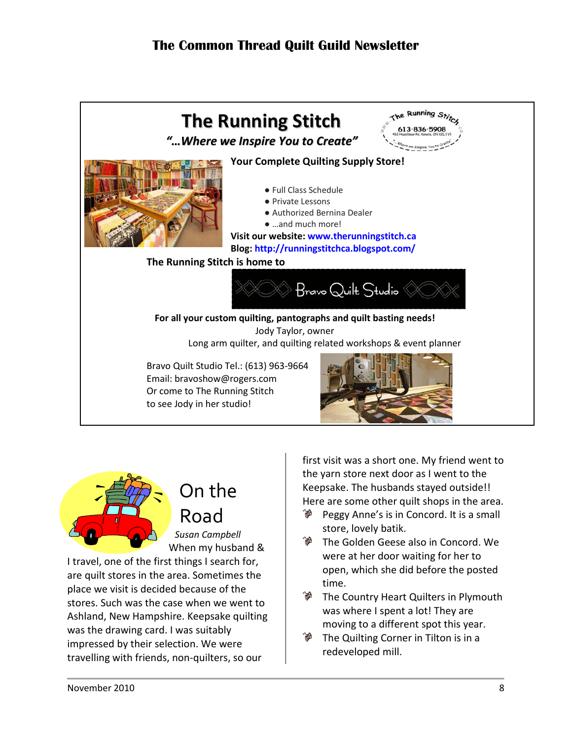



# <span id="page-7-0"></span>On the Road

*Susan Campbell* When my husband &

I travel, one of the first things I search for, are quilt stores in the area. Sometimes the place we visit is decided because of the stores. Such was the case when we went to Ashland, New Hampshire. Keepsake quilting was the drawing card. I was suitably impressed by their selection. We were travelling with friends, non-quilters, so our

first visit was a short one. My friend went to the yarn store next door as I went to the Keepsake. The husbands stayed outside!! Here are some other quilt shops in the area.

- Peggy Anne's is in Concord. It is a small store, lovely batik.
- The Golden Geese also in Concord. We were at her door waiting for her to open, which she did before the posted time.
- The Country Heart Quilters in Plymouth was where I spent a lot! They are moving to a different spot this year.
- The Quilting Corner in Tilton is in a redeveloped mill.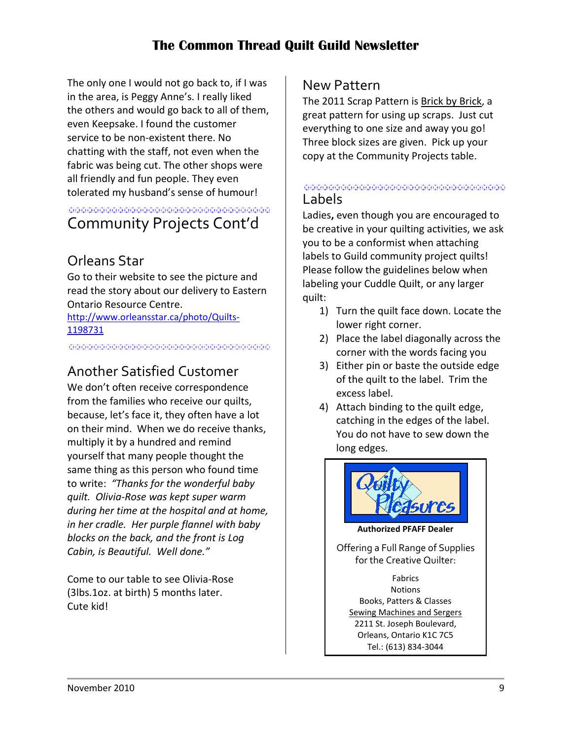The only one I would not go back to, if I was in the area, is Peggy Anne's. I really liked the others and would go back to all of them, even Keepsake. I found the customer service to be non-existent there. No chatting with the staff, not even when the fabric was being cut. The other shops were all friendly and fun people. They even tolerated my husband's sense of humour!

#### <span id="page-8-0"></span><u> 1999 - Johann Amerikaanse politike</u> Community Projects Cont'd

## Orleans Star

Go to their website to see the picture and read the story about our delivery to Eastern Ontario Resource Centre.

[http://www.orleansstar.ca/photo/Quilts-](http://www.orleansstar.ca/photo/Quilts-1198731)[1198731](http://www.orleansstar.ca/photo/Quilts-1198731)

in die bedrecht der bedrechte der er der erste die die die die die bedrechte der er der erste bedrechtet der e

### Another Satisfied Customer

We don't often receive correspondence from the families who receive our quilts, because, let's face it, they often have a lot on their mind. When we do receive thanks, multiply it by a hundred and remind yourself that many people thought the same thing as this person who found time to write: *"Thanks for the wonderful baby quilt. Olivia-Rose was kept super warm during her time at the hospital and at home, in her cradle. Her purple flannel with baby blocks on the back, and the front is Log Cabin, is Beautiful. Well done."* 

Come to our table to see Olivia-Rose (3lbs.1oz. at birth) 5 months later. Cute kid!

#### New Pattern

The 2011 Scrap Pattern is Brick by Brick, a great pattern for using up scraps. Just cut everything to one size and away you go! Three block sizes are given. Pick up your copy at the Community Projects table.

#### TRANSPORTER PROTECTIVE PROTECTIVE PROTECTIVE PROTECTIVE PROTECTIVE PROTECTIVE PROTECTIVE PROTECTIVE PROTECTIVE<br>- Protective Protective Protective Protective Protective Protective Protective Protective Protective Protectiv<br> Labels

Ladies**,** even though you are encouraged to be creative in your quilting activities, we ask you to be a conformist when attaching labels to Guild community project quilts! Please follow the guidelines below when labeling your Cuddle Quilt, or any larger quilt:

- 1) Turn the quilt face down. Locate the lower right corner.
- 2) Place the label diagonally across the corner with the words facing you
- 3) Either pin or baste the outside edge of the quilt to the label. Trim the excess label.
- 4) Attach binding to the quilt edge, catching in the edges of the label. You do not have to sew down the long edges.